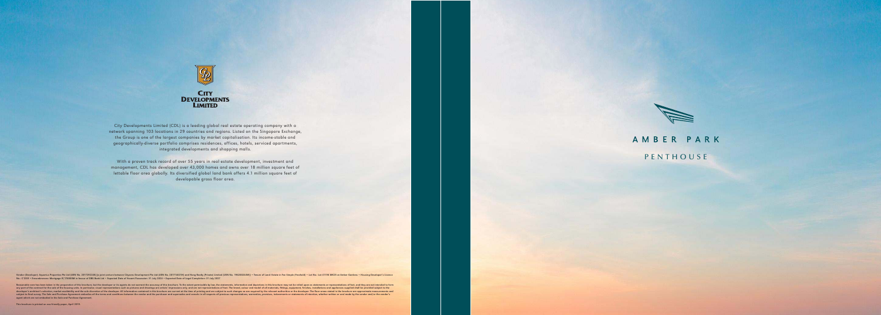

City Developments Limited (CDL) is a leading global real estate operating company with a network spanning 103 locations in 29 countries and regions. Listed on the Singapore Exchange, the Group is one of the largest companies by market capitalisation. Its income-stable and geographically-diverse portfolio comprises residences, offices, hotels, serviced apartments, integrated developments and shopping malls.

With a proven track record of over 55 years in real estate development, investment and management, CDL has developed over 43,000 homes and owns over 18 million square feet of lettable floor area globally. Its diversified global land bank offers 4.1 million square feet of developable gross floor area.

Vendor (Developer): Aquarius Properties Pte Ltd (UEN No. 201729224X) [a joint venture between Cityzens Development Pte Ltd (UEN No. 201714631H) and Hong Realty (Private) Limited (UEN No. 196200244W)] • Tenure of Land: Esta

Reasonable care has been taken in the preparation of this brochure, but the developer or its agents do not warrant the accuracy of this brochure. To the extent permissible by law, the statements, information and depictions any part of the contract for the sale of the housing units. In particular, visual representations such as pictures and drawings are artists' impressions only, and are not representations of fact. The brand, colour and mode developer's architect's selection, market availability and the sole discretion of the developer. All information contained in this brochure are current at the time of printing and are subject to such changes as are require subject to final survey. The Sale and Purchase Agreement embodies all the terms and conditions between the vendor and the purchaser and supersedes and cancels in all respects all previous representations, warranties, promi agent which are not embodied in the Sale and Purchase Agreement.



# AMBER PARK

PENTHOUSE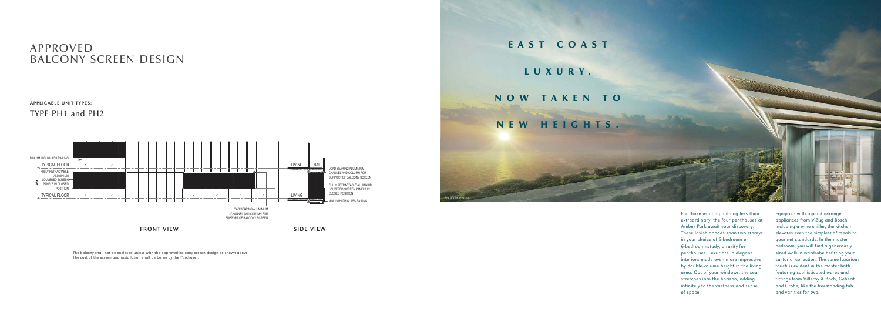For those wanting nothing less than extraordinary, the four penthouses at Amber Park await your discovery. These lavish abodes span two storeys in your choice of 6-bedroom or 6-bedroom+study, a rarity for penthouses. Luxuriate in elegant interiors made even more impressive by double-volume height in the living area. Out of your windows, the sea stretches into the horizon, adding infinitely to the vastness and sense of space.

 $T$ 

Equipped with top-of-the-range appliances from V-Zug and Bosch, including a wine chiller, the kitchen elevates even the simplest of meals to gourmet standards. In the master bedroom, you will find a generously sized walk-in wardrobe befitting your sartorial collection. The same luxurious touch is evident in the master bath featuring sophisticated wares and fittings from Villeroy & Boch, Geberit and Grohe, like the freestanding tub and vanities for two.

EAST COAST

### LUXURY.

## NOW TAKEN TO

NEW HEIGHTS.

ertist's impre



## APPROVED BALCONY SCREEN DESIGN

#### APPLICABLE UNIT TYPES:

TYPE PH1 and PH2

The balcony shall not be enclosed unless with the approved balcony screen design as shown above. The cost of the screen and installation shall be borne by the Purchaser.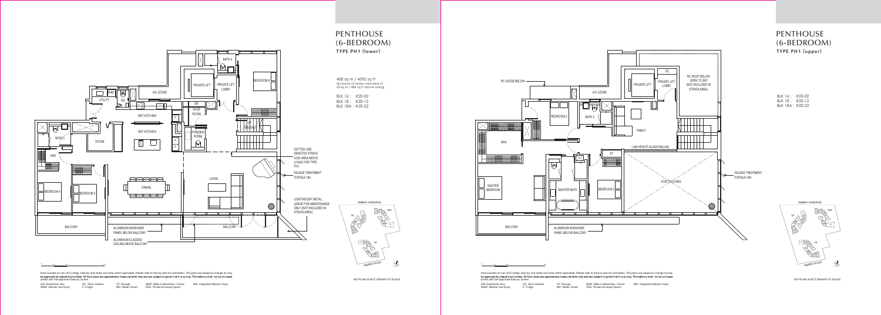Area includes air-con (A/C) ledge, balcony and strata void area where applicable. Please refer to the key plan for orientation. The plans are subject to change as may<br>be approved by relevant authorities. All floor plans ar unless with the approved balcony screen.

KEYPLAN IS NOT DRAWN TO SCALE

Area includes air-con (A/C) ledge, balcony and strata void area where applicable. Please refer to the key plan for orientation. The plans are subject to change as may be approved by relevant authorities. All floor plans are approximate measurements only and are subject to government re-survey. The balcony shall not be enclosed<br>unless with the approved balcony screen.

| <b>DB: Distribution Box</b> | <b>SC: Shoe Cabinet</b> | ST: Storage      | WIW: Walk-in-Wardrobe / Closet | <b>WD: Integrated Washer Dryer</b> |
|-----------------------------|-------------------------|------------------|--------------------------------|------------------------------------|
| W&D: Washer and Dryer       | F: Fridge               | WC: Water Closet | PES: Private Enclosed Space    |                                    |



KEYPLAN IS NOT DRAWN TO SCALE

| <b>DB: Distribution Box</b> | <b>SC: Shoe Cabinet</b> | ST: Storage      | WIW: Walk-in-Wardrobe / Closet | <b>WD: Integrated Washer Dryer</b> |
|-----------------------------|-------------------------|------------------|--------------------------------|------------------------------------|
| W&D: Washer and Dryer       | F: Fridge               | WC: Water Closet | PES: Private Enclosed Space    |                                    |



PENTHOUSE